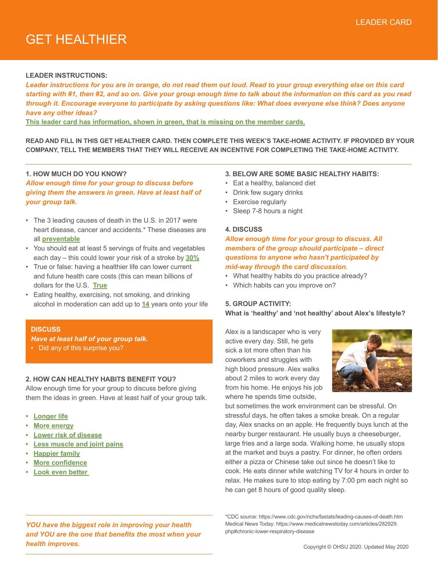# GET HEALTHIER

#### **LEADER INSTRUCTIONS:**

*Leader instructions for you are in orange, do not read them out loud. Read to your group everything else on this card starting with #1, then #2, and so on. Give your group enough time to talk about the information on this card as you read through it. Encourage everyone to participate by asking questions like: What does everyone else think? Does anyone have any other ideas?* 

**This leader card has information, shown in green, that is missing on the member cards.**

**READ AND FILL IN THIS GET HEALTHIER CARD. THEN COMPLETE THIS WEEK'S TAKE-HOME ACTIVITY. IF PROVIDED BY YOUR COMPANY, TELL THE MEMBERS THAT THEY WILL RECEIVE AN INCENTIVE FOR COMPLETING THE TAKE-HOME ACTIVITY.** 

## **1. HOW MUCH DO YOU KNOW?**

*Allow enough time for your group to discuss before giving them the answers in green. Have at least half of your group talk.*

- The 3 leading causes of death in the U.S. in 2017 were heart disease, cancer and accidents.\* These diseases are all **preventable**
- You should eat at least 5 servings of fruits and vegetables each day – this could lower your risk of a stroke by **30%**
- True or false: having a healthier life can lower current and future health care costs (this can mean billions of dollars for the U.S. **True**
- Eating healthy, exercising, not smoking, and drinking alcohol in moderation can add up to **14** years onto your life

#### **DISCUSS**

*Have at least half of your group talk.*

• Did any of this surprise you?

#### **2. HOW CAN HEALTHY HABITS BENEFIT YOU?**

Allow enough time for your group to discuss before giving them the ideas in green. Have at least half of your group talk.

- **• Longer life**
- **• More energy**
- **• Lower risk of disease**
- **• Less muscle and joint pains**
- **• Happier family**
- **• More confidence**
- **• Look even better**
- **3. BELOW ARE SOME BASIC HEALTHY HABITS:**
- Eat a healthy, balanced diet
- Drink few sugary drinks
- Exercise regularly
- Sleep 7-8 hours a night

#### **4. DISCUSS**

*Allow enough time for your group to discuss. All members of the group should participate – direct questions to anyone who hasn't participated by mid-way through the card discussion.*

- What healthy habits do you practice already?
- Which habits can you improve on?

#### **5. GROUP ACTIVITY:**

**What is 'healthy' and 'not healthy' about Alex's lifestyle?**

Alex is a landscaper who is very active every day. Still, he gets sick a lot more often than his coworkers and struggles with high blood pressure. Alex walks about 2 miles to work every day from his home. He enjoys his job where he spends time outside,



but sometimes the work environment can be stressful. On stressful days, he often takes a smoke break. On a regular day, Alex snacks on an apple. He frequently buys lunch at the nearby burger restaurant. He usually buys a cheeseburger, large fries and a large soda. Walking home, he usually stops at the market and buys a pastry. For dinner, he often orders either a pizza or Chinese take out since he doesn't like to cook. He eats dinner while watching TV for 4 hours in order to relax. He makes sure to stop eating by 7:00 pm each night so he can get 8 hours of good quality sleep.

*YOU have the biggest role in improving your health and YOU are the one that benefits the most when your health improves.*

<sup>\*</sup>CDC source: https://www.cdc.gov/nchs/fastats/leading-causes-of-death.htm Medical News Today: https://www.medicalnewstoday.com/articles/282929. php#chronic-lower-respiratory-disease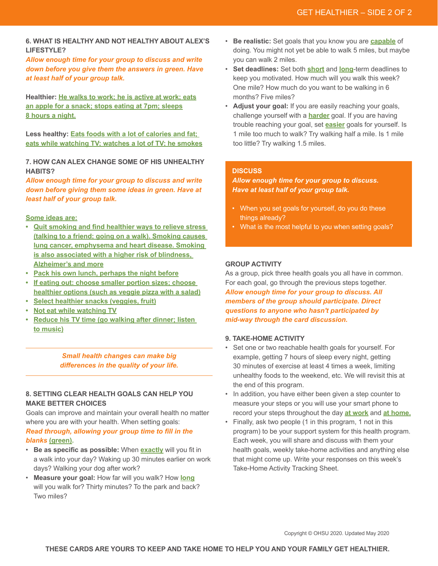## **6. WHAT IS HEALTHY AND NOT HEALTHY ABOUT ALEX'S LIFESTYLE?**

*Allow enough time for your group to discuss and write down before you give them the answers in green. Have at least half of your group talk.*

**Healthier: He walks to work; he is active at work; eats an apple for a snack; stops eating at 7pm; sleeps 8 hours a night.**

**Less healthy: Eats foods with a lot of calories and fat; eats while watching TV; watches a lot of TV; he smokes**

**7. HOW CAN ALEX CHANGE SOME OF HIS UNHEALTHY HABITS?**

*Allow enough time for your group to discuss and write down before giving them some ideas in green. Have at least half of your group talk.*

## **Some ideas are:**

- **• Quit smoking and find healthier ways to relieve stress (talking to a friend; going on a walk). Smoking causes lung cancer, emphysema and heart disease. Smoking is also associated with a higher risk of blindness, Alzheimer's and more**
- **• Pack his own lunch, perhaps the night before**
- **• If eating out: choose smaller portion sizes; choose healthier options (such as veggie pizza with a salad)**
- **• Select healthier snacks (veggies, fruit)**
- **• Not eat while watching TV**
- **• Reduce his TV time (go walking after dinner; listen to music)**

*Small health changes can make big differences in the quality of your life.*

## **8. SETTING CLEAR HEALTH GOALS CAN HELP YOU MAKE BETTER CHOICES**

Goals can improve and maintain your overall health no matter where you are with your health. When setting goals:

## *Read through, allowing your group time to fill in the blanks* **(green).**

- **Be as specific as possible:** When **exactly** will you fit in a walk into your day? Waking up 30 minutes earlier on work days? Walking your dog after work?
- **Measure your goal:** How far will you walk? How **long** will you walk for? Thirty minutes? To the park and back? Two miles?
- **Be realistic:** Set goals that you know you are **capable** of doing. You might not yet be able to walk 5 miles, but maybe you can walk 2 miles.
- **Set deadlines:** Set both **short** and **long**-term deadlines to keep you motivated. How much will you walk this week? One mile? How much do you want to be walking in 6 months? Five miles?
- **Adjust your goal:** If you are easily reaching your goals, challenge yourself with a **harder** goal. If you are having trouble reaching your goal, set **easier** goals for yourself. Is 1 mile too much to walk? Try walking half a mile. Is 1 mile too little? Try walking 1.5 miles.

## **DISCUSS**

*Allow enough time for your group to discuss. Have at least half of your group talk.*

- When you set goals for yourself, do you do these things already?
- What is the most helpful to you when setting goals?

## **GROUP ACTIVITY**

As a group, pick three health goals you all have in common. For each goal, go through the previous steps together. *Allow enough time for your group to discuss. All members of the group should participate. Direct questions to anyone who hasn't participated by mid-way through the card discussion.*

## **9. TAKE-HOME ACTIVITY**

- Set one or two reachable health goals for yourself. For example, getting 7 hours of sleep every night, getting 30 minutes of exercise at least 4 times a week, limiting unhealthy foods to the weekend, etc. We will revisit this at the end of this program.
- In addition, you have either been given a step counter to measure your steps or you will use your smart phone to record your steps throughout the day **at work** and **at home.**
- Finally, ask two people (1 in this program, 1 not in this program) to be your support system for this health program. Each week, you will share and discuss with them your health goals, weekly take-home activities and anything else that might come up. Write your responses on this week's Take-Home Activity Tracking Sheet.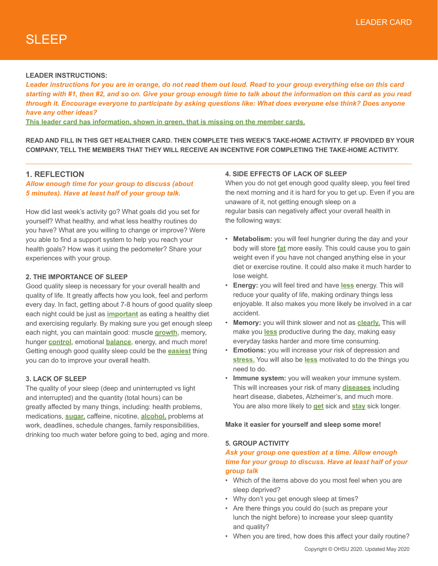## **LEADER INSTRUCTIONS:**

*Leader instructions for you are in orange, do not read them out loud. Read to your group everything else on this card starting with #1, then #2, and so on. Give your group enough time to talk about the information on this card as you read through it. Encourage everyone to participate by asking questions like: What does everyone else think? Does anyone have any other ideas?* 

**This leader card has information, shown in green, that is missing on the member cards.**

**READ AND FILL IN THIS GET HEALTHIER CARD. THEN COMPLETE THIS WEEK'S TAKE-HOME ACTIVITY. IF PROVIDED BY YOUR COMPANY, TELL THE MEMBERS THAT THEY WILL RECEIVE AN INCENTIVE FOR COMPLETING THE TAKE-HOME ACTIVITY.** 

## **1. REFLECTION**

## *Allow enough time for your group to discuss (about 5 minutes). Have at least half of your group talk.*

How did last week's activity go? What goals did you set for yourself? What healthy, and what less healthy routines do you have? What are you willing to change or improve? Were you able to find a support system to help you reach your health goals? How was it using the pedometer? Share your experiences with your group.

## **2. THE IMPORTANCE OF SLEEP**

Good quality sleep is necessary for your overall health and quality of life. It greatly affects how you look, feel and perform every day. In fact, getting about 7-8 hours of good quality sleep each night could be just as **important** as eating a healthy diet and exercising regularly. By making sure you get enough sleep each night, you can maintain good: muscle **growth**, memory, hunger **control**, emotional **balance**, energy, and much more! Getting enough good quality sleep could be the **easiest** thing you can do to improve your overall health.

#### **3. LACK OF SLEEP**

The quality of your sleep (deep and uninterrupted vs light and interrupted) and the quantity (total hours) can be greatly affected by many things, including: health problems, medications, **sugar,** caffeine, nicotine, **alcohol,** problems at work, deadlines, schedule changes, family responsibilities, drinking too much water before going to bed, aging and more.

## **4. SIDE EFFECTS OF LACK OF SLEEP**

When you do not get enough good quality sleep, you feel tired the next morning and it is hard for you to get up. Even if you are unaware of it, not getting enough sleep on a regular basis can negatively affect your overall health in the following ways:

- **Metabolism:** you will feel hungrier during the day and your body will store **fat** more easily. This could cause you to gain weight even if you have not changed anything else in your diet or exercise routine. It could also make it much harder to lose weight.
- **Energy:** you will feel tired and have **less** energy. This will reduce your quality of life, making ordinary things less enjoyable. It also makes you more likely be involved in a car accident.
- **Memory:** you will think slower and not as **clearly.** This will make you **less** productive during the day, making easy everyday tasks harder and more time consuming.
- **Emotions:** you will increase your risk of depression and **stress.** You will also be **less** motivated to do the things you need to do.
- **Immune system:** you will weaken your immune system. This will increases your risk of many **diseases** including heart disease, diabetes, Alzheimer's, and much more. You are also more likely to **get** sick and **stay** sick longer.

#### **Make it easier for yourself and sleep some more!**

#### **5. GROUP ACTIVITY**

## *Ask your group one question at a time. Allow enough time for your group to discuss. Have at least half of your group talk*

- Which of the items above do you most feel when you are sleep deprived?
- Why don't you get enough sleep at times?
- Are there things you could do (such as prepare your lunch the night before) to increase your sleep quantity and quality?
- When you are tired, how does this affect your daily routine?